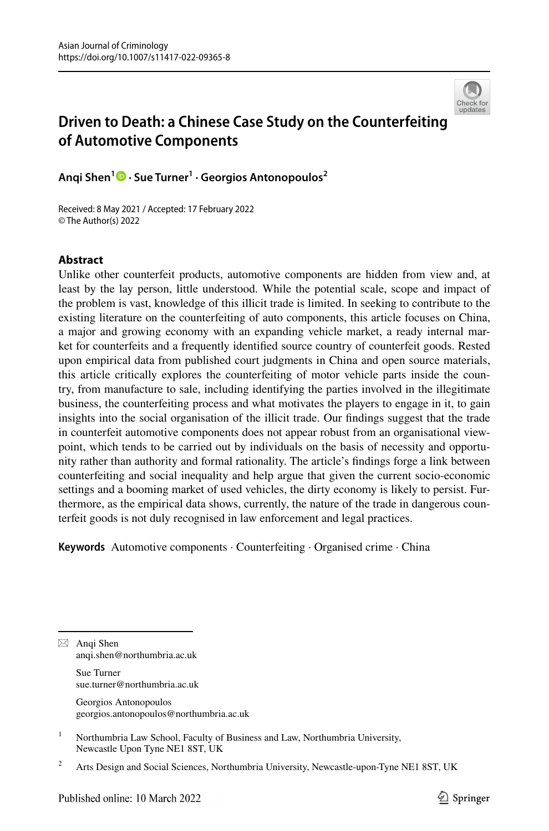

# **Driven to Death: a Chinese Case Study on the Counterfeiting of Automotive Components**

**Anqi Shen1 · Sue Turner1 · Georgios Antonopoulos2**

Received: 8 May 2021 / Accepted: 17 February 2022 © The Author(s) 2022

## **Abstract**

Unlike other counterfeit products, automotive components are hidden from view and, at least by the lay person, little understood. While the potential scale, scope and impact of the problem is vast, knowledge of this illicit trade is limited. In seeking to contribute to the existing literature on the counterfeiting of auto components, this article focuses on China, a major and growing economy with an expanding vehicle market, a ready internal market for counterfeits and a frequently identifed source country of counterfeit goods. Rested upon empirical data from published court judgments in China and open source materials, this article critically explores the counterfeiting of motor vehicle parts inside the country, from manufacture to sale, including identifying the parties involved in the illegitimate business, the counterfeiting process and what motivates the players to engage in it, to gain insights into the social organisation of the illicit trade. Our fndings suggest that the trade in counterfeit automotive components does not appear robust from an organisational viewpoint, which tends to be carried out by individuals on the basis of necessity and opportunity rather than authority and formal rationality. The article's fndings forge a link between counterfeiting and social inequality and help argue that given the current socio-economic settings and a booming market of used vehicles, the dirty economy is likely to persist. Furthermore, as the empirical data shows, currently, the nature of the trade in dangerous counterfeit goods is not duly recognised in law enforcement and legal practices.

**Keywords** Automotive components · Counterfeiting · Organised crime · China

 $\boxtimes$  Anqi Shen anqi.shen@northumbria.ac.uk

> Sue Turner sue.turner@northumbria.ac.uk

Georgios Antonopoulos georgios.antonopoulos@northumbria.ac.uk

<sup>1</sup> Northumbria Law School, Faculty of Business and Law, Northumbria University, Newcastle Upon Tyne NE1 8ST, UK

<sup>&</sup>lt;sup>2</sup> Arts Design and Social Sciences, Northumbria University, Newcastle-upon-Tyne NE1 8ST, UK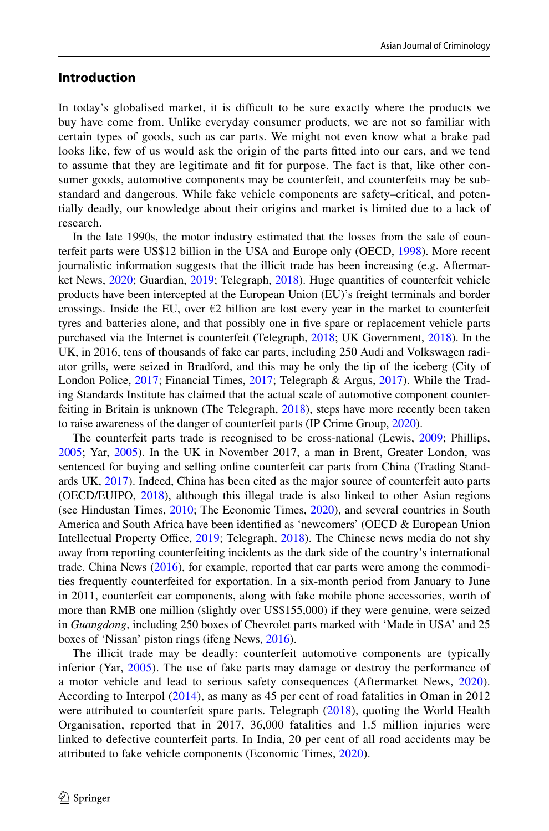## **Introduction**

In today's globalised market, it is difficult to be sure exactly where the products we buy have come from. Unlike everyday consumer products, we are not so familiar with certain types of goods, such as car parts. We might not even know what a brake pad looks like, few of us would ask the origin of the parts ftted into our cars, and we tend to assume that they are legitimate and ft for purpose. The fact is that, like other consumer goods, automotive components may be counterfeit, and counterfeits may be substandard and dangerous. While fake vehicle components are safety–critical, and potentially deadly, our knowledge about their origins and market is limited due to a lack of research.

In the late 1990s, the motor industry estimated that the losses from the sale of counterfeit parts were US\$12 billion in the USA and Europe only (OECD, [1998\)](#page-17-0). More recent journalistic information suggests that the illicit trade has been increasing (e.g. Aftermarket News, [2020](#page-16-0); Guardian, [2019](#page-16-1); Telegraph, [2018](#page-18-0)). Huge quantities of counterfeit vehicle products have been intercepted at the European Union (EU)'s freight terminals and border crossings. Inside the EU, over  $\epsilon$ 2 billion are lost every year in the market to counterfeit tyres and batteries alone, and that possibly one in fve spare or replacement vehicle parts purchased via the Internet is counterfeit (Telegraph, [2018](#page-18-0); UK Government, [2018\)](#page-18-1). In the UK, in 2016, tens of thousands of fake car parts, including 250 Audi and Volkswagen radiator grills, were seized in Bradford, and this may be only the tip of the iceberg (City of London Police, [2017](#page-16-2); Financial Times, [2017;](#page-16-3) Telegraph & Argus, [2017\)](#page-18-2). While the Trading Standards Institute has claimed that the actual scale of automotive component counterfeiting in Britain is unknown (The Telegraph, [2018\)](#page-18-0), steps have more recently been taken to raise awareness of the danger of counterfeit parts (IP Crime Group, [2020](#page-17-1)).

The counterfeit parts trade is recognised to be cross-national (Lewis, [2009;](#page-17-2) Phillips, [2005;](#page-17-3) Yar, [2005](#page-18-3)). In the UK in November 2017, a man in Brent, Greater London, was sentenced for buying and selling online counterfeit car parts from China (Trading Standards UK, [2017\)](#page-18-4). Indeed, China has been cited as the major source of counterfeit auto parts (OECD/EUIPO, [2018\)](#page-17-4), although this illegal trade is also linked to other Asian regions (see Hindustan Times, [2010;](#page-17-5) The Economic Times, [2020\)](#page-16-4), and several countries in South America and South Africa have been identifed as 'newcomers' (OECD & European Union Intellectual Property Office, [2019;](#page-17-6) Telegraph, [2018](#page-18-0)). The Chinese news media do not shy away from reporting counterfeiting incidents as the dark side of the country's international trade. China News ([2016\)](#page-16-5), for example, reported that car parts were among the commodities frequently counterfeited for exportation. In a six-month period from January to June in 2011, counterfeit car components, along with fake mobile phone accessories, worth of more than RMB one million (slightly over US\$155,000) if they were genuine, were seized in *Guangdong*, including 250 boxes of Chevrolet parts marked with 'Made in USA' and 25 boxes of 'Nissan' piston rings (ifeng News, [2016](#page-17-7)).

The illicit trade may be deadly: counterfeit automotive components are typically inferior (Yar, [2005\)](#page-18-3). The use of fake parts may damage or destroy the performance of a motor vehicle and lead to serious safety consequences (Aftermarket News, [2020\)](#page-16-0). According to Interpol [\(2014\)](#page-17-8), as many as 45 per cent of road fatalities in Oman in 2012 were attributed to counterfeit spare parts. Telegraph ([2018](#page-18-0)), quoting the World Health Organisation, reported that in 2017, 36,000 fatalities and 1.5 million injuries were linked to defective counterfeit parts. In India, 20 per cent of all road accidents may be attributed to fake vehicle components (Economic Times, [2020](#page-16-4)).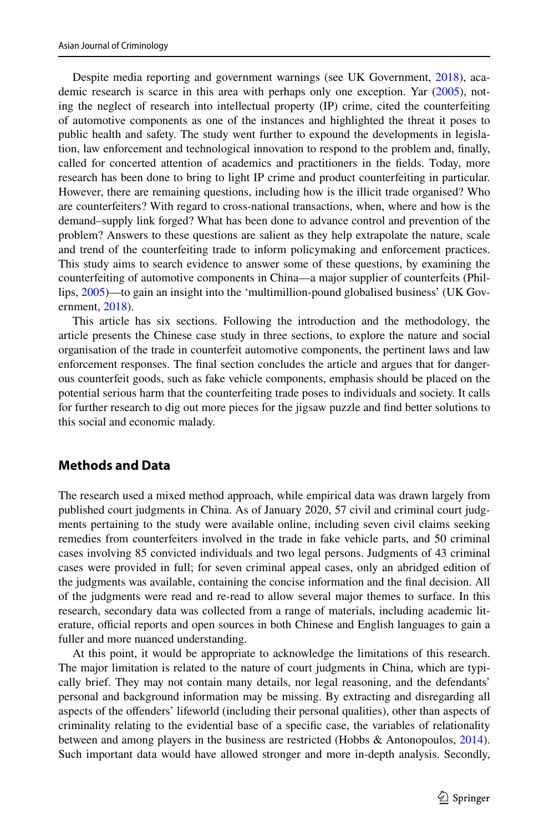Despite media reporting and government warnings (see UK Government, [2018\)](#page-18-1), academic research is scarce in this area with perhaps only one exception. Yar [\(2005](#page-18-3)), noting the neglect of research into intellectual property (IP) crime, cited the counterfeiting of automotive components as one of the instances and highlighted the threat it poses to public health and safety. The study went further to expound the developments in legislation, law enforcement and technological innovation to respond to the problem and, fnally, called for concerted attention of academics and practitioners in the felds. Today, more research has been done to bring to light IP crime and product counterfeiting in particular. However, there are remaining questions, including how is the illicit trade organised? Who are counterfeiters? With regard to cross-national transactions, when, where and how is the demand–supply link forged? What has been done to advance control and prevention of the problem? Answers to these questions are salient as they help extrapolate the nature, scale and trend of the counterfeiting trade to inform policymaking and enforcement practices. This study aims to search evidence to answer some of these questions, by examining the counterfeiting of automotive components in China—a major supplier of counterfeits (Phillips, [2005](#page-17-3))—to gain an insight into the 'multimillion-pound globalised business' (UK Government, [2018\)](#page-18-1).

This article has six sections. Following the introduction and the methodology, the article presents the Chinese case study in three sections, to explore the nature and social organisation of the trade in counterfeit automotive components, the pertinent laws and law enforcement responses. The fnal section concludes the article and argues that for dangerous counterfeit goods, such as fake vehicle components, emphasis should be placed on the potential serious harm that the counterfeiting trade poses to individuals and society. It calls for further research to dig out more pieces for the jigsaw puzzle and fnd better solutions to this social and economic malady.

# **Methods and Data**

The research used a mixed method approach, while empirical data was drawn largely from published court judgments in China. As of January 2020, 57 civil and criminal court judgments pertaining to the study were available online, including seven civil claims seeking remedies from counterfeiters involved in the trade in fake vehicle parts, and 50 criminal cases involving 85 convicted individuals and two legal persons. Judgments of 43 criminal cases were provided in full; for seven criminal appeal cases, only an abridged edition of the judgments was available, containing the concise information and the fnal decision. All of the judgments were read and re-read to allow several major themes to surface. In this research, secondary data was collected from a range of materials, including academic literature, official reports and open sources in both Chinese and English languages to gain a fuller and more nuanced understanding.

At this point, it would be appropriate to acknowledge the limitations of this research. The major limitation is related to the nature of court judgments in China, which are typically brief. They may not contain many details, nor legal reasoning, and the defendants' personal and background information may be missing. By extracting and disregarding all aspects of the ofenders' lifeworld (including their personal qualities), other than aspects of criminality relating to the evidential base of a specifc case, the variables of relationality between and among players in the business are restricted (Hobbs & Antonopoulos, [2014](#page-17-9)). Such important data would have allowed stronger and more in-depth analysis. Secondly,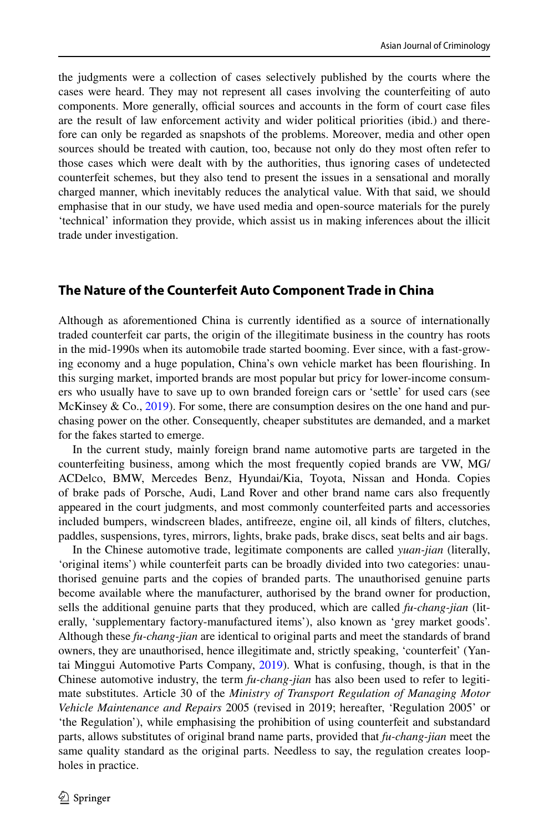the judgments were a collection of cases selectively published by the courts where the cases were heard. They may not represent all cases involving the counterfeiting of auto components. More generally, official sources and accounts in the form of court case files are the result of law enforcement activity and wider political priorities (ibid.) and therefore can only be regarded as snapshots of the problems. Moreover, media and other open sources should be treated with caution, too, because not only do they most often refer to those cases which were dealt with by the authorities, thus ignoring cases of undetected counterfeit schemes, but they also tend to present the issues in a sensational and morally charged manner, which inevitably reduces the analytical value. With that said, we should emphasise that in our study, we have used media and open-source materials for the purely 'technical' information they provide, which assist us in making inferences about the illicit trade under investigation.

## **The Nature of the Counterfeit Auto Component Trade in China**

Although as aforementioned China is currently identifed as a source of internationally traded counterfeit car parts, the origin of the illegitimate business in the country has roots in the mid-1990s when its automobile trade started booming. Ever since, with a fast-growing economy and a huge population, China's own vehicle market has been fourishing. In this surging market, imported brands are most popular but pricy for lower-income consumers who usually have to save up to own branded foreign cars or 'settle' for used cars (see McKinsey & Co.,  $2019$ ). For some, there are consumption desires on the one hand and purchasing power on the other. Consequently, cheaper substitutes are demanded, and a market for the fakes started to emerge.

In the current study, mainly foreign brand name automotive parts are targeted in the counterfeiting business, among which the most frequently copied brands are VW, MG/ ACDelco, BMW, Mercedes Benz, Hyundai/Kia, Toyota, Nissan and Honda. Copies of brake pads of Porsche, Audi, Land Rover and other brand name cars also frequently appeared in the court judgments, and most commonly counterfeited parts and accessories included bumpers, windscreen blades, antifreeze, engine oil, all kinds of flters, clutches, paddles, suspensions, tyres, mirrors, lights, brake pads, brake discs, seat belts and air bags.

In the Chinese automotive trade, legitimate components are called *yuan-jian* (literally, 'original items') while counterfeit parts can be broadly divided into two categories: unauthorised genuine parts and the copies of branded parts. The unauthorised genuine parts become available where the manufacturer, authorised by the brand owner for production, sells the additional genuine parts that they produced, which are called *fu-chang-jian* (literally, 'supplementary factory-manufactured items'), also known as 'grey market goods'. Although these *fu-chang-jian* are identical to original parts and meet the standards of brand owners, they are unauthorised, hence illegitimate and, strictly speaking, 'counterfeit' (Yantai Minggui Automotive Parts Company, [2019](#page-18-5)). What is confusing, though, is that in the Chinese automotive industry, the term *fu-chang-jian* has also been used to refer to legitimate substitutes. Article 30 of the *Ministry of Transport Regulation of Managing Motor Vehicle Maintenance and Repairs* 2005 (revised in 2019; hereafter, 'Regulation 2005' or 'the Regulation'), while emphasising the prohibition of using counterfeit and substandard parts, allows substitutes of original brand name parts, provided that *fu-chang-jian* meet the same quality standard as the original parts. Needless to say, the regulation creates loopholes in practice.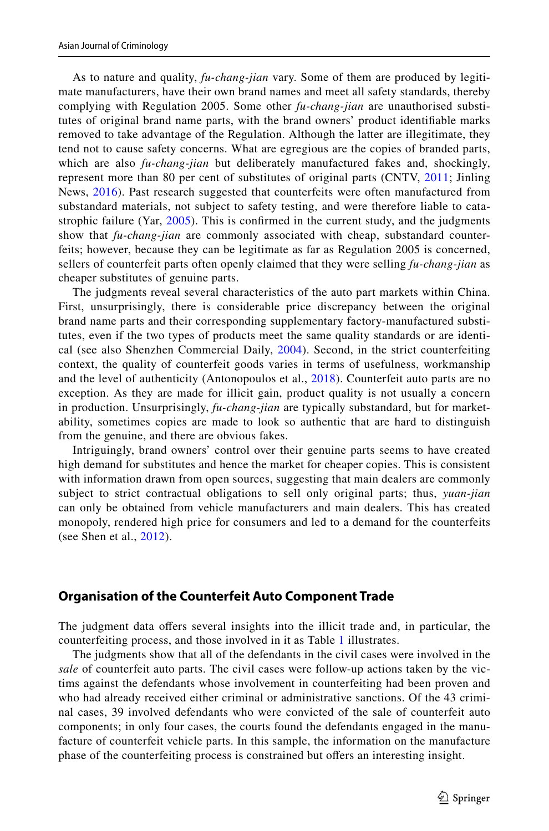As to nature and quality, *fu-chang-jian* vary. Some of them are produced by legitimate manufacturers, have their own brand names and meet all safety standards, thereby complying with Regulation 2005. Some other *fu-chang-jian* are unauthorised substitutes of original brand name parts, with the brand owners' product identifable marks removed to take advantage of the Regulation. Although the latter are illegitimate, they tend not to cause safety concerns. What are egregious are the copies of branded parts, which are also *fu-chang-jian* but deliberately manufactured fakes and, shockingly, represent more than 80 per cent of substitutes of original parts (CNTV, [2011;](#page-16-6) Jinling News, [2016](#page-17-11)). Past research suggested that counterfeits were often manufactured from substandard materials, not subject to safety testing, and were therefore liable to catastrophic failure (Yar, [2005\)](#page-18-3). This is confrmed in the current study, and the judgments show that *fu-chang-jian* are commonly associated with cheap, substandard counterfeits; however, because they can be legitimate as far as Regulation 2005 is concerned, sellers of counterfeit parts often openly claimed that they were selling *fu-chang-jian* as cheaper substitutes of genuine parts.

The judgments reveal several characteristics of the auto part markets within China. First, unsurprisingly, there is considerable price discrepancy between the original brand name parts and their corresponding supplementary factory-manufactured substitutes, even if the two types of products meet the same quality standards or are identical (see also Shenzhen Commercial Daily, [2004](#page-18-6)). Second, in the strict counterfeiting context, the quality of counterfeit goods varies in terms of usefulness, workmanship and the level of authenticity (Antonopoulos et al., [2018\)](#page-16-7). Counterfeit auto parts are no exception. As they are made for illicit gain, product quality is not usually a concern in production. Unsurprisingly, *fu-chang-jian* are typically substandard, but for marketability, sometimes copies are made to look so authentic that are hard to distinguish from the genuine, and there are obvious fakes.

Intriguingly, brand owners' control over their genuine parts seems to have created high demand for substitutes and hence the market for cheaper copies. This is consistent with information drawn from open sources, suggesting that main dealers are commonly subject to strict contractual obligations to sell only original parts; thus, *yuan-jian* can only be obtained from vehicle manufacturers and main dealers. This has created monopoly, rendered high price for consumers and led to a demand for the counterfeits (see Shen et al., [2012](#page-17-12)).

### **Organisation of the Counterfeit Auto Component Trade**

The judgment data ofers several insights into the illicit trade and, in particular, the counterfeiting process, and those involved in it as Table [1](#page-5-0) illustrates.

The judgments show that all of the defendants in the civil cases were involved in the *sale* of counterfeit auto parts. The civil cases were follow-up actions taken by the victims against the defendants whose involvement in counterfeiting had been proven and who had already received either criminal or administrative sanctions. Of the 43 criminal cases, 39 involved defendants who were convicted of the sale of counterfeit auto components; in only four cases, the courts found the defendants engaged in the manufacture of counterfeit vehicle parts. In this sample, the information on the manufacture phase of the counterfeiting process is constrained but ofers an interesting insight.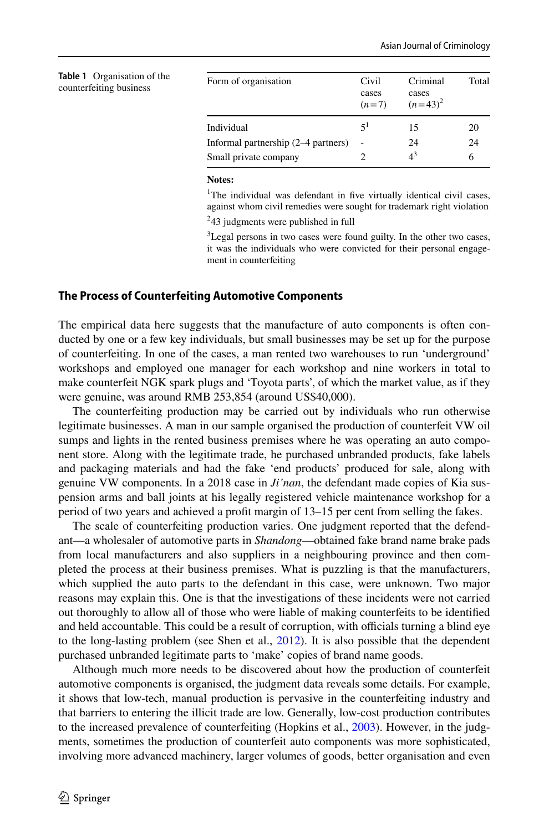<span id="page-5-0"></span>

| <b>Table 1</b> Organisation of the<br>counterfeiting business | Form of organisation                | Civil<br>cases<br>$(n=7)$ | Criminal<br>cases<br>$(n=43)^2$ | Total |
|---------------------------------------------------------------|-------------------------------------|---------------------------|---------------------------------|-------|
|                                                               | Individual                          | $\leq$ <sup>1</sup>       | 15                              | 20    |
|                                                               | Informal partnership (2–4 partners) | $\overline{\phantom{a}}$  | 24                              | 24    |
|                                                               | Small private company               |                           | $4^3$                           | 6     |
|                                                               |                                     |                           |                                 |       |

#### **Notes:**

<sup>1</sup>The individual was defendant in five virtually identical civil cases, against whom civil remedies were sought for trademark right violation 2 43 judgments were published in full

<sup>3</sup>Legal persons in two cases were found guilty. In the other two cases, it was the individuals who were convicted for their personal engagement in counterfeiting

#### **The Process of Counterfeiting Automotive Components**

The empirical data here suggests that the manufacture of auto components is often conducted by one or a few key individuals, but small businesses may be set up for the purpose of counterfeiting. In one of the cases, a man rented two warehouses to run 'underground' workshops and employed one manager for each workshop and nine workers in total to make counterfeit NGK spark plugs and 'Toyota parts', of which the market value, as if they were genuine, was around RMB 253,854 (around US\$40,000).

The counterfeiting production may be carried out by individuals who run otherwise legitimate businesses. A man in our sample organised the production of counterfeit VW oil sumps and lights in the rented business premises where he was operating an auto component store. Along with the legitimate trade, he purchased unbranded products, fake labels and packaging materials and had the fake 'end products' produced for sale, along with genuine VW components. In a 2018 case in *Ji'nan*, the defendant made copies of Kia suspension arms and ball joints at his legally registered vehicle maintenance workshop for a period of two years and achieved a proft margin of 13–15 per cent from selling the fakes.

The scale of counterfeiting production varies. One judgment reported that the defendant—a wholesaler of automotive parts in *Shandong*—obtained fake brand name brake pads from local manufacturers and also suppliers in a neighbouring province and then completed the process at their business premises. What is puzzling is that the manufacturers, which supplied the auto parts to the defendant in this case, were unknown. Two major reasons may explain this. One is that the investigations of these incidents were not carried out thoroughly to allow all of those who were liable of making counterfeits to be identifed and held accountable. This could be a result of corruption, with officials turning a blind eye to the long-lasting problem (see Shen et al., [2012\)](#page-17-12). It is also possible that the dependent purchased unbranded legitimate parts to 'make' copies of brand name goods.

Although much more needs to be discovered about how the production of counterfeit automotive components is organised, the judgment data reveals some details. For example, it shows that low-tech, manual production is pervasive in the counterfeiting industry and that barriers to entering the illicit trade are low. Generally, low-cost production contributes to the increased prevalence of counterfeiting (Hopkins et al., [2003\)](#page-17-13). However, in the judgments, sometimes the production of counterfeit auto components was more sophisticated, involving more advanced machinery, larger volumes of goods, better organisation and even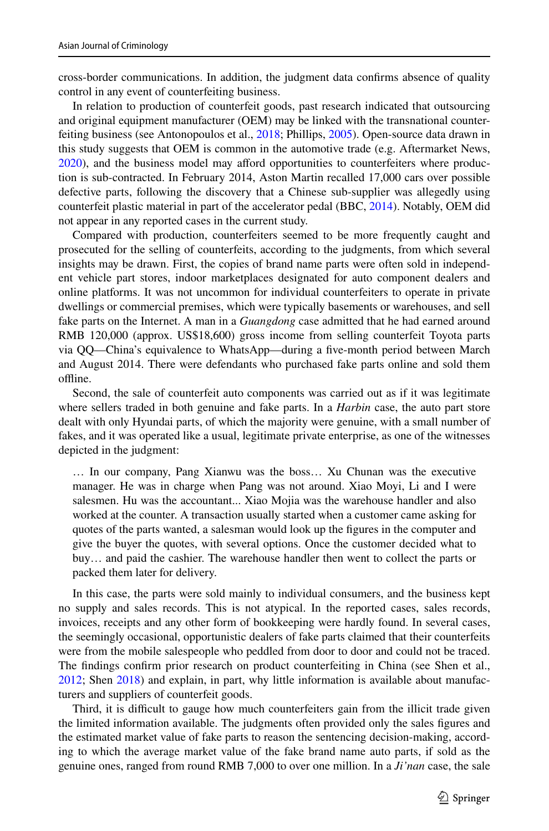cross-border communications. In addition, the judgment data confrms absence of quality control in any event of counterfeiting business.

In relation to production of counterfeit goods, past research indicated that outsourcing and original equipment manufacturer (OEM) may be linked with the transnational counterfeiting business (see Antonopoulos et al., [2018](#page-16-7); Phillips, [2005](#page-17-3)). Open-source data drawn in this study suggests that OEM is common in the automotive trade (e.g. Aftermarket News, [2020\)](#page-16-0), and the business model may aford opportunities to counterfeiters where production is sub-contracted. In February 2014, Aston Martin recalled 17,000 cars over possible defective parts, following the discovery that a Chinese sub-supplier was allegedly using counterfeit plastic material in part of the accelerator pedal (BBC, [2014\)](#page-16-8). Notably, OEM did not appear in any reported cases in the current study.

Compared with production, counterfeiters seemed to be more frequently caught and prosecuted for the selling of counterfeits, according to the judgments, from which several insights may be drawn. First, the copies of brand name parts were often sold in independent vehicle part stores, indoor marketplaces designated for auto component dealers and online platforms. It was not uncommon for individual counterfeiters to operate in private dwellings or commercial premises, which were typically basements or warehouses, and sell fake parts on the Internet. A man in a *Guangdong* case admitted that he had earned around RMB 120,000 (approx. US\$18,600) gross income from selling counterfeit Toyota parts via QQ—China's equivalence to WhatsApp—during a fve-month period between March and August 2014. There were defendants who purchased fake parts online and sold them offline.

Second, the sale of counterfeit auto components was carried out as if it was legitimate where sellers traded in both genuine and fake parts. In a *Harbin* case, the auto part store dealt with only Hyundai parts, of which the majority were genuine, with a small number of fakes, and it was operated like a usual, legitimate private enterprise, as one of the witnesses depicted in the judgment:

… In our company, Pang Xianwu was the boss… Xu Chunan was the executive manager. He was in charge when Pang was not around. Xiao Moyi, Li and I were salesmen. Hu was the accountant... Xiao Mojia was the warehouse handler and also worked at the counter. A transaction usually started when a customer came asking for quotes of the parts wanted, a salesman would look up the fgures in the computer and give the buyer the quotes, with several options. Once the customer decided what to buy… and paid the cashier. The warehouse handler then went to collect the parts or packed them later for delivery.

In this case, the parts were sold mainly to individual consumers, and the business kept no supply and sales records. This is not atypical. In the reported cases, sales records, invoices, receipts and any other form of bookkeeping were hardly found. In several cases, the seemingly occasional, opportunistic dealers of fake parts claimed that their counterfeits were from the mobile salespeople who peddled from door to door and could not be traced. The fndings confrm prior research on product counterfeiting in China (see Shen et al., [2012;](#page-17-12) Shen [2018](#page-17-14)) and explain, in part, why little information is available about manufacturers and suppliers of counterfeit goods.

Third, it is difficult to gauge how much counterfeiters gain from the illicit trade given the limited information available. The judgments often provided only the sales fgures and the estimated market value of fake parts to reason the sentencing decision-making, according to which the average market value of the fake brand name auto parts, if sold as the genuine ones, ranged from round RMB 7,000 to over one million. In a *Ji'nan* case, the sale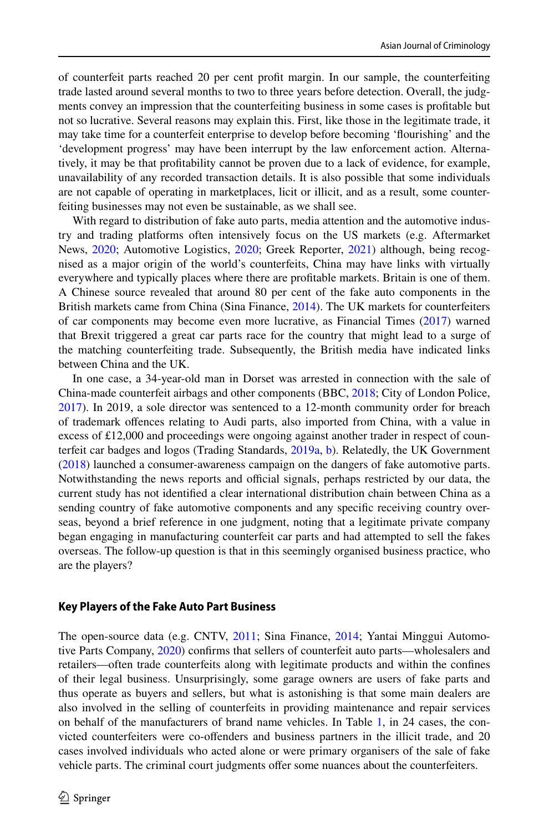of counterfeit parts reached 20 per cent proft margin. In our sample, the counterfeiting trade lasted around several months to two to three years before detection. Overall, the judgments convey an impression that the counterfeiting business in some cases is proftable but not so lucrative. Several reasons may explain this. First, like those in the legitimate trade, it may take time for a counterfeit enterprise to develop before becoming 'fourishing' and the 'development progress' may have been interrupt by the law enforcement action. Alternatively, it may be that proftability cannot be proven due to a lack of evidence, for example, unavailability of any recorded transaction details. It is also possible that some individuals are not capable of operating in marketplaces, licit or illicit, and as a result, some counterfeiting businesses may not even be sustainable, as we shall see.

With regard to distribution of fake auto parts, media attention and the automotive industry and trading platforms often intensively focus on the US markets (e.g. Aftermarket News, [2020;](#page-16-0) Automotive Logistics, [2020](#page-16-9); Greek Reporter, [2021\)](#page-16-10) although, being recognised as a major origin of the world's counterfeits, China may have links with virtually everywhere and typically places where there are proftable markets. Britain is one of them. A Chinese source revealed that around 80 per cent of the fake auto components in the British markets came from China (Sina Finance, [2014](#page-18-7)). The UK markets for counterfeiters of car components may become even more lucrative, as Financial Times [\(2017](#page-16-3)) warned that Brexit triggered a great car parts race for the country that might lead to a surge of the matching counterfeiting trade. Subsequently, the British media have indicated links between China and the UK.

In one case, a 34-year-old man in Dorset was arrested in connection with the sale of China-made counterfeit airbags and other components (BBC, [2018;](#page-16-11) City of London Police, [2017\)](#page-16-2). In 2019, a sole director was sentenced to a 12-month community order for breach of trademark ofences relating to Audi parts, also imported from China, with a value in excess of £12,000 and proceedings were ongoing against another trader in respect of counterfeit car badges and logos (Trading Standards, [2019a](#page-18-8), [b\)](#page-18-9). Relatedly, the UK Government ([2018\)](#page-18-1) launched a consumer-awareness campaign on the dangers of fake automotive parts. Notwithstanding the news reports and official signals, perhaps restricted by our data, the current study has not identifed a clear international distribution chain between China as a sending country of fake automotive components and any specifc receiving country overseas, beyond a brief reference in one judgment, noting that a legitimate private company began engaging in manufacturing counterfeit car parts and had attempted to sell the fakes overseas. The follow-up question is that in this seemingly organised business practice, who are the players?

#### **Key Players of the Fake Auto Part Business**

The open-source data (e.g. CNTV, [2011](#page-16-6); Sina Finance, [2014](#page-18-7); Yantai Minggui Automotive Parts Company, [2020](#page-18-5)) confrms that sellers of counterfeit auto parts—wholesalers and retailers—often trade counterfeits along with legitimate products and within the confnes of their legal business. Unsurprisingly, some garage owners are users of fake parts and thus operate as buyers and sellers, but what is astonishing is that some main dealers are also involved in the selling of counterfeits in providing maintenance and repair services on behalf of the manufacturers of brand name vehicles. In Table [1](#page-5-0), in 24 cases, the convicted counterfeiters were co-ofenders and business partners in the illicit trade, and 20 cases involved individuals who acted alone or were primary organisers of the sale of fake vehicle parts. The criminal court judgments ofer some nuances about the counterfeiters.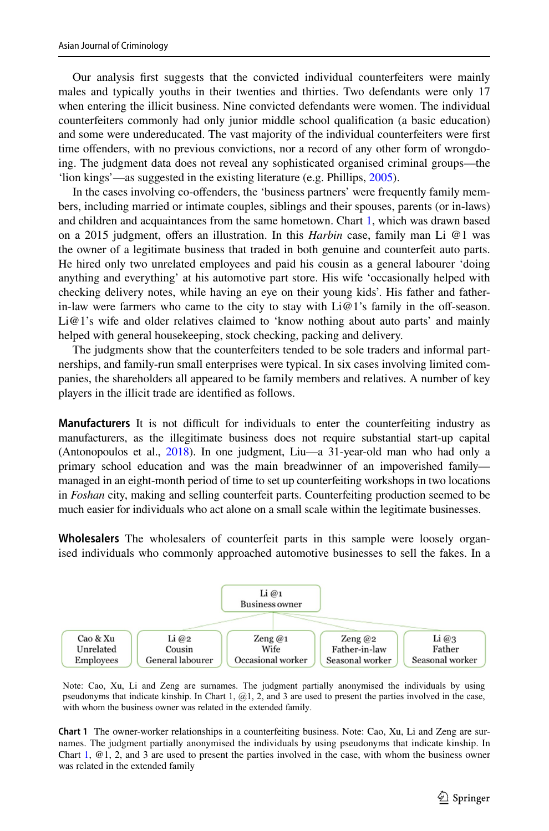Our analysis frst suggests that the convicted individual counterfeiters were mainly males and typically youths in their twenties and thirties. Two defendants were only 17 when entering the illicit business. Nine convicted defendants were women. The individual counterfeiters commonly had only junior middle school qualifcation (a basic education) and some were undereducated. The vast majority of the individual counterfeiters were frst time ofenders, with no previous convictions, nor a record of any other form of wrongdoing. The judgment data does not reveal any sophisticated organised criminal groups—the 'lion kings'—as suggested in the existing literature (e.g. Phillips, [2005\)](#page-17-3).

In the cases involving co-ofenders, the 'business partners' were frequently family members, including married or intimate couples, siblings and their spouses, parents (or in-laws) and children and acquaintances from the same hometown. Chart [1,](#page-8-0) which was drawn based on a 2015 judgment, ofers an illustration. In this *Harbin* case, family man Li @1 was the owner of a legitimate business that traded in both genuine and counterfeit auto parts. He hired only two unrelated employees and paid his cousin as a general labourer 'doing anything and everything' at his automotive part store. His wife 'occasionally helped with checking delivery notes, while having an eye on their young kids'. His father and fatherin-law were farmers who came to the city to stay with  $Li@1$ 's family in the off-season. Li@1's wife and older relatives claimed to 'know nothing about auto parts' and mainly helped with general housekeeping, stock checking, packing and delivery.

The judgments show that the counterfeiters tended to be sole traders and informal partnerships, and family-run small enterprises were typical. In six cases involving limited companies, the shareholders all appeared to be family members and relatives. A number of key players in the illicit trade are identifed as follows.

**Manufacturers** It is not difficult for individuals to enter the counterfeiting industry as manufacturers, as the illegitimate business does not require substantial start-up capital (Antonopoulos et al., [2018\)](#page-16-7). In one judgment, Liu—a 31-year-old man who had only a primary school education and was the main breadwinner of an impoverished family managed in an eight-month period of time to set up counterfeiting workshops in two locations in *Foshan* city, making and selling counterfeit parts. Counterfeiting production seemed to be much easier for individuals who act alone on a small scale within the legitimate businesses.

**Wholesalers** The wholesalers of counterfeit parts in this sample were loosely organised individuals who commonly approached automotive businesses to sell the fakes. In a



Note: Cao, Xu, Li and Zeng are surnames. The judgment partially anonymised the individuals by using pseudonyms that indicate kinship. In Chart 1, @1, 2, and 3 are used to present the parties involved in the case, with whom the business owner was related in the extended family.

<span id="page-8-0"></span>**Chart 1** The owner-worker relationships in a counterfeiting business. Note: Cao, Xu, Li and Zeng are surnames. The judgment partially anonymised the individuals by using pseudonyms that indicate kinship. In Chart [1](#page-8-0), @1, 2, and 3 are used to present the parties involved in the case, with whom the business owner was related in the extended family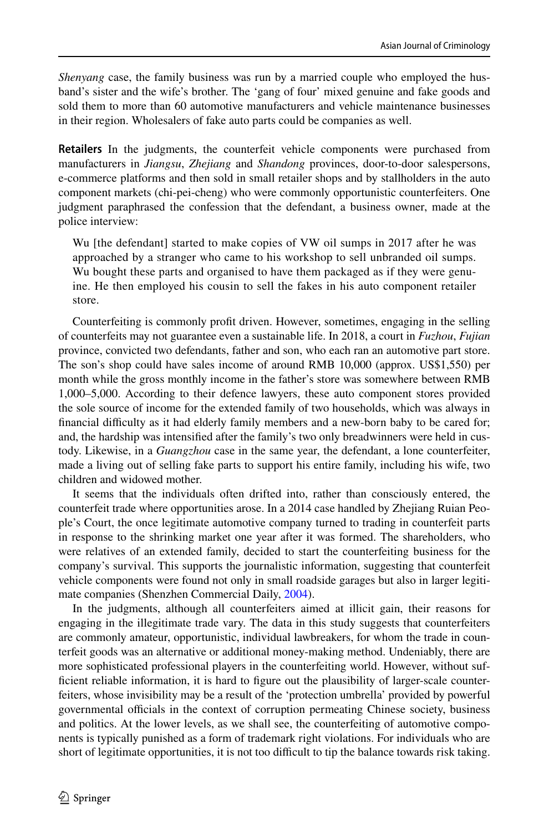*Shenyang* case, the family business was run by a married couple who employed the husband's sister and the wife's brother. The 'gang of four' mixed genuine and fake goods and sold them to more than 60 automotive manufacturers and vehicle maintenance businesses in their region. Wholesalers of fake auto parts could be companies as well.

**Retailers** In the judgments, the counterfeit vehicle components were purchased from manufacturers in *Jiangsu*, *Zhejiang* and *Shandong* provinces, door-to-door salespersons, e-commerce platforms and then sold in small retailer shops and by stallholders in the auto component markets (chi-pei-cheng) who were commonly opportunistic counterfeiters. One judgment paraphrased the confession that the defendant, a business owner, made at the police interview:

Wu [the defendant] started to make copies of VW oil sumps in 2017 after he was approached by a stranger who came to his workshop to sell unbranded oil sumps. Wu bought these parts and organised to have them packaged as if they were genuine. He then employed his cousin to sell the fakes in his auto component retailer store.

Counterfeiting is commonly proft driven. However, sometimes, engaging in the selling of counterfeits may not guarantee even a sustainable life. In 2018, a court in *Fuzhou*, *Fujian* province, convicted two defendants, father and son, who each ran an automotive part store. The son's shop could have sales income of around RMB 10,000 (approx. US\$1,550) per month while the gross monthly income in the father's store was somewhere between RMB 1,000–5,000. According to their defence lawyers, these auto component stores provided the sole source of income for the extended family of two households, which was always in financial difficulty as it had elderly family members and a new-born baby to be cared for; and, the hardship was intensifed after the family's two only breadwinners were held in custody. Likewise, in a *Guangzhou* case in the same year, the defendant, a lone counterfeiter, made a living out of selling fake parts to support his entire family, including his wife, two children and widowed mother.

It seems that the individuals often drifted into, rather than consciously entered, the counterfeit trade where opportunities arose. In a 2014 case handled by Zhejiang Ruian People's Court, the once legitimate automotive company turned to trading in counterfeit parts in response to the shrinking market one year after it was formed. The shareholders, who were relatives of an extended family, decided to start the counterfeiting business for the company's survival. This supports the journalistic information, suggesting that counterfeit vehicle components were found not only in small roadside garages but also in larger legitimate companies (Shenzhen Commercial Daily, [2004\)](#page-18-6).

In the judgments, although all counterfeiters aimed at illicit gain, their reasons for engaging in the illegitimate trade vary. The data in this study suggests that counterfeiters are commonly amateur, opportunistic, individual lawbreakers, for whom the trade in counterfeit goods was an alternative or additional money-making method. Undeniably, there are more sophisticated professional players in the counterfeiting world. However, without sufficient reliable information, it is hard to figure out the plausibility of larger-scale counterfeiters, whose invisibility may be a result of the 'protection umbrella' provided by powerful governmental officials in the context of corruption permeating Chinese society, business and politics. At the lower levels, as we shall see, the counterfeiting of automotive components is typically punished as a form of trademark right violations. For individuals who are short of legitimate opportunities, it is not too difficult to tip the balance towards risk taking.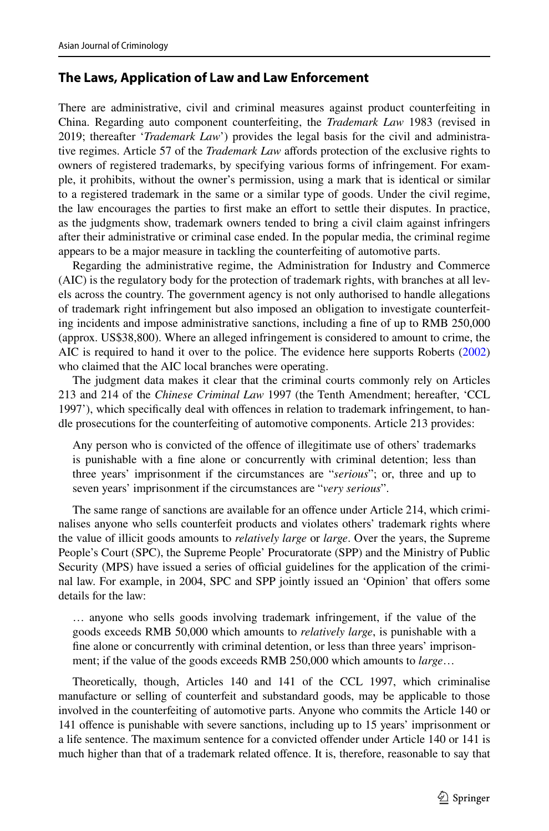## **The Laws, Application of Law and Law Enforcement**

There are administrative, civil and criminal measures against product counterfeiting in China. Regarding auto component counterfeiting, the *Trademark Law* 1983 (revised in 2019; thereafter '*Trademark Law*') provides the legal basis for the civil and administrative regimes. Article 57 of the *Trademark Law* afords protection of the exclusive rights to owners of registered trademarks, by specifying various forms of infringement. For example, it prohibits, without the owner's permission, using a mark that is identical or similar to a registered trademark in the same or a similar type of goods. Under the civil regime, the law encourages the parties to frst make an efort to settle their disputes. In practice, as the judgments show, trademark owners tended to bring a civil claim against infringers after their administrative or criminal case ended. In the popular media, the criminal regime appears to be a major measure in tackling the counterfeiting of automotive parts.

Regarding the administrative regime, the Administration for Industry and Commerce (AIC) is the regulatory body for the protection of trademark rights, with branches at all levels across the country. The government agency is not only authorised to handle allegations of trademark right infringement but also imposed an obligation to investigate counterfeiting incidents and impose administrative sanctions, including a fne of up to RMB 250,000 (approx. US\$38,800). Where an alleged infringement is considered to amount to crime, the AIC is required to hand it over to the police. The evidence here supports Roberts [\(2002](#page-17-15)) who claimed that the AIC local branches were operating.

The judgment data makes it clear that the criminal courts commonly rely on Articles 213 and 214 of the *Chinese Criminal Law* 1997 (the Tenth Amendment; hereafter, 'CCL 1997'), which specifcally deal with ofences in relation to trademark infringement, to handle prosecutions for the counterfeiting of automotive components. Article 213 provides:

Any person who is convicted of the ofence of illegitimate use of others' trademarks is punishable with a fne alone or concurrently with criminal detention; less than three years' imprisonment if the circumstances are "*serious*"; or, three and up to seven years' imprisonment if the circumstances are "*very serious*".

The same range of sanctions are available for an ofence under Article 214, which criminalises anyone who sells counterfeit products and violates others' trademark rights where the value of illicit goods amounts to *relatively large* or *large*. Over the years, the Supreme People's Court (SPC), the Supreme People' Procuratorate (SPP) and the Ministry of Public Security (MPS) have issued a series of official guidelines for the application of the criminal law. For example, in 2004, SPC and SPP jointly issued an 'Opinion' that ofers some details for the law:

… anyone who sells goods involving trademark infringement, if the value of the goods exceeds RMB 50,000 which amounts to *relatively large*, is punishable with a fne alone or concurrently with criminal detention, or less than three years' imprisonment; if the value of the goods exceeds RMB 250,000 which amounts to *large*…

Theoretically, though, Articles 140 and 141 of the CCL 1997, which criminalise manufacture or selling of counterfeit and substandard goods, may be applicable to those involved in the counterfeiting of automotive parts. Anyone who commits the Article 140 or 141 ofence is punishable with severe sanctions, including up to 15 years' imprisonment or a life sentence. The maximum sentence for a convicted ofender under Article 140 or 141 is much higher than that of a trademark related ofence. It is, therefore, reasonable to say that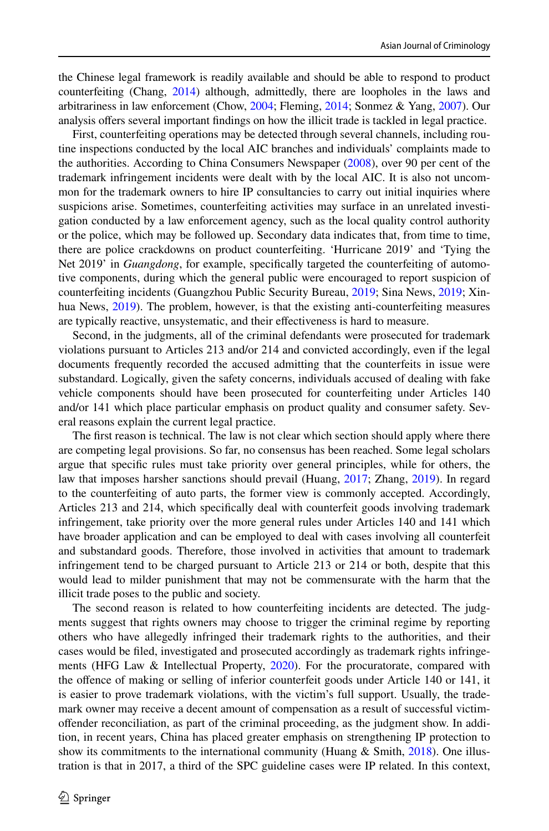the Chinese legal framework is readily available and should be able to respond to product counterfeiting (Chang, [2014\)](#page-16-12) although, admittedly, there are loopholes in the laws and arbitrariness in law enforcement (Chow, [2004;](#page-16-13) Fleming, [2014](#page-16-14); Sonmez & Yang, [2007](#page-18-10)). Our analysis ofers several important fndings on how the illicit trade is tackled in legal practice.

First, counterfeiting operations may be detected through several channels, including routine inspections conducted by the local AIC branches and individuals' complaints made to the authorities. According to China Consumers Newspaper [\(2008](#page-16-15)), over 90 per cent of the trademark infringement incidents were dealt with by the local AIC. It is also not uncommon for the trademark owners to hire IP consultancies to carry out initial inquiries where suspicions arise. Sometimes, counterfeiting activities may surface in an unrelated investigation conducted by a law enforcement agency, such as the local quality control authority or the police, which may be followed up. Secondary data indicates that, from time to time, there are police crackdowns on product counterfeiting. 'Hurricane 2019' and 'Tying the Net 2019' in *Guangdong*, for example, specifcally targeted the counterfeiting of automotive components, during which the general public were encouraged to report suspicion of counterfeiting incidents (Guangzhou Public Security Bureau, [2019;](#page-16-16) Sina News, [2019](#page-18-11); Xinhua News, [2019](#page-18-12)). The problem, however, is that the existing anti-counterfeiting measures are typically reactive, unsystematic, and their effectiveness is hard to measure.

Second, in the judgments, all of the criminal defendants were prosecuted for trademark violations pursuant to Articles 213 and/or 214 and convicted accordingly, even if the legal documents frequently recorded the accused admitting that the counterfeits in issue were substandard. Logically, given the safety concerns, individuals accused of dealing with fake vehicle components should have been prosecuted for counterfeiting under Articles 140 and/or 141 which place particular emphasis on product quality and consumer safety. Several reasons explain the current legal practice.

The frst reason is technical. The law is not clear which section should apply where there are competing legal provisions. So far, no consensus has been reached. Some legal scholars argue that specifc rules must take priority over general principles, while for others, the law that imposes harsher sanctions should prevail (Huang, [2017;](#page-17-16) Zhang, [2019\)](#page-18-13). In regard to the counterfeiting of auto parts, the former view is commonly accepted. Accordingly, Articles 213 and 214, which specifcally deal with counterfeit goods involving trademark infringement, take priority over the more general rules under Articles 140 and 141 which have broader application and can be employed to deal with cases involving all counterfeit and substandard goods. Therefore, those involved in activities that amount to trademark infringement tend to be charged pursuant to Article 213 or 214 or both, despite that this would lead to milder punishment that may not be commensurate with the harm that the illicit trade poses to the public and society.

The second reason is related to how counterfeiting incidents are detected. The judgments suggest that rights owners may choose to trigger the criminal regime by reporting others who have allegedly infringed their trademark rights to the authorities, and their cases would be fled, investigated and prosecuted accordingly as trademark rights infringements (HFG Law & Intellectual Property, [2020](#page-17-17)). For the procuratorate, compared with the ofence of making or selling of inferior counterfeit goods under Article 140 or 141, it is easier to prove trademark violations, with the victim's full support. Usually, the trademark owner may receive a decent amount of compensation as a result of successful victimoffender reconciliation, as part of the criminal proceeding, as the judgment show. In addition, in recent years, China has placed greater emphasis on strengthening IP protection to show its commitments to the international community (Huang  $\&$  Smith, [2018](#page-17-18)). One illustration is that in 2017, a third of the SPC guideline cases were IP related. In this context,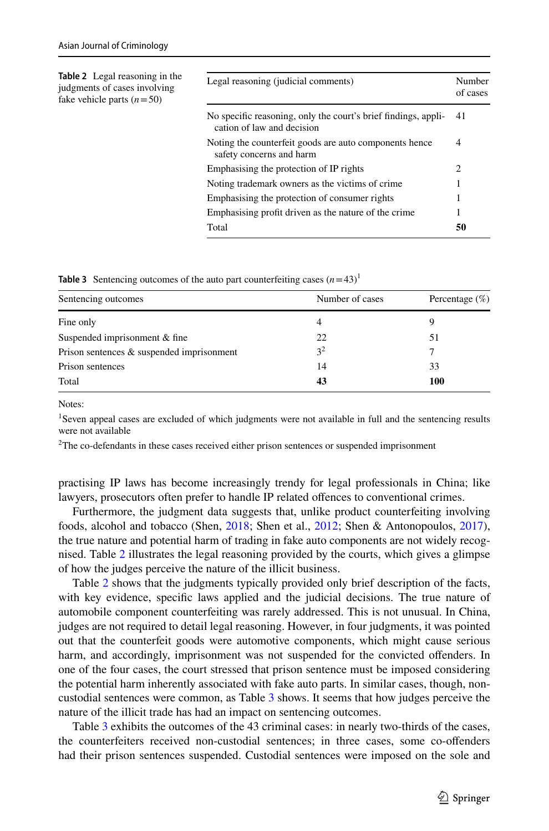<span id="page-12-0"></span>

| <b>Table 2</b> Legal reasoning in the<br>judgments of cases involving<br>fake vehicle parts $(n=50)$ | Legal reasoning (judicial comments)                                                          | Number<br>of cases |
|------------------------------------------------------------------------------------------------------|----------------------------------------------------------------------------------------------|--------------------|
|                                                                                                      | No specific reasoning, only the court's brief findings, appli-<br>cation of law and decision | 41                 |
|                                                                                                      | Noting the counterfeit goods are auto components hence<br>safety concerns and harm           | 4                  |
|                                                                                                      | Emphasising the protection of IP rights                                                      | 2                  |
|                                                                                                      | Noting trademark owners as the victims of crime.                                             |                    |
|                                                                                                      | Emphasising the protection of consumer rights                                                |                    |
|                                                                                                      | Emphasising profit driven as the nature of the crime                                         | 1                  |
|                                                                                                      | Total                                                                                        | 50                 |

<span id="page-12-1"></span>

| <b>Table 3</b> Sentencing outcomes of the auto part counterfeiting cases $(n=43)^1$ |  |
|-------------------------------------------------------------------------------------|--|
|-------------------------------------------------------------------------------------|--|

| Sentencing outcomes                       | Number of cases | Percentage $(\%)$ |  |
|-------------------------------------------|-----------------|-------------------|--|
| Fine only                                 |                 | Q                 |  |
| Suspended imprisonment & fine             | 22              | 51                |  |
| Prison sentences & suspended imprisonment | 3 <sup>2</sup>  |                   |  |
| Prison sentences                          | 14              | 33                |  |
| Total                                     | 43              | 100               |  |

Notes:

<sup>1</sup>Seven appeal cases are excluded of which judgments were not available in full and the sentencing results were not available

 $2$ The co-defendants in these cases received either prison sentences or suspended imprisonment

practising IP laws has become increasingly trendy for legal professionals in China; like lawyers, prosecutors often prefer to handle IP related ofences to conventional crimes.

Furthermore, the judgment data suggests that, unlike product counterfeiting involving foods, alcohol and tobacco (Shen, [2018;](#page-17-14) Shen et al., [2012;](#page-17-12) Shen & Antonopoulos, [2017](#page-17-19)), the true nature and potential harm of trading in fake auto components are not widely recognised. Table [2](#page-12-0) illustrates the legal reasoning provided by the courts, which gives a glimpse of how the judges perceive the nature of the illicit business.

Table [2](#page-12-0) shows that the judgments typically provided only brief description of the facts, with key evidence, specifc laws applied and the judicial decisions. The true nature of automobile component counterfeiting was rarely addressed. This is not unusual. In China, judges are not required to detail legal reasoning. However, in four judgments, it was pointed out that the counterfeit goods were automotive components, which might cause serious harm, and accordingly, imprisonment was not suspended for the convicted offenders. In one of the four cases, the court stressed that prison sentence must be imposed considering the potential harm inherently associated with fake auto parts. In similar cases, though, noncustodial sentences were common, as Table [3](#page-12-1) shows. It seems that how judges perceive the nature of the illicit trade has had an impact on sentencing outcomes.

Table [3](#page-12-1) exhibits the outcomes of the 43 criminal cases: in nearly two-thirds of the cases, the counterfeiters received non-custodial sentences; in three cases, some co-ofenders had their prison sentences suspended. Custodial sentences were imposed on the sole and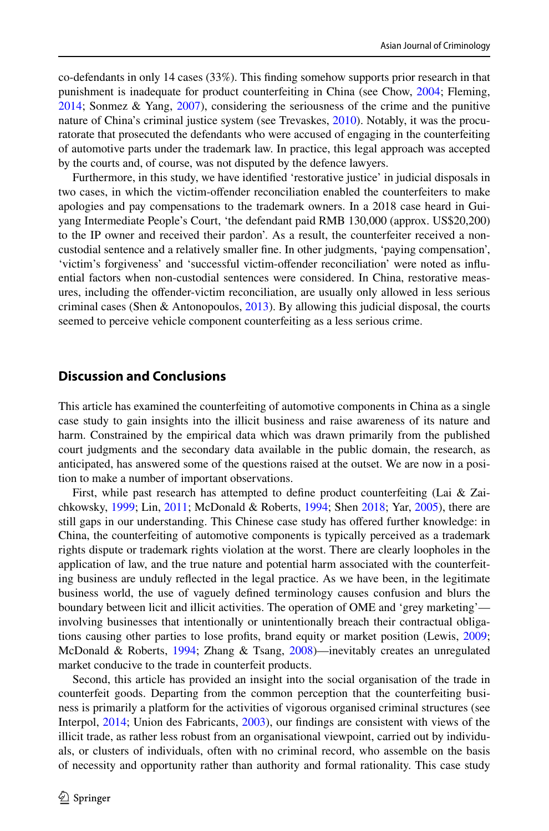co-defendants in only 14 cases (33%). This fnding somehow supports prior research in that punishment is inadequate for product counterfeiting in China (see Chow, [2004;](#page-16-13) Fleming, [2014;](#page-16-14) Sonmez & Yang, [2007\)](#page-18-10), considering the seriousness of the crime and the punitive nature of China's criminal justice system (see Trevaskes, [2010](#page-18-14)). Notably, it was the procuratorate that prosecuted the defendants who were accused of engaging in the counterfeiting of automotive parts under the trademark law. In practice, this legal approach was accepted by the courts and, of course, was not disputed by the defence lawyers.

Furthermore, in this study, we have identifed 'restorative justice' in judicial disposals in two cases, in which the victim-ofender reconciliation enabled the counterfeiters to make apologies and pay compensations to the trademark owners. In a 2018 case heard in Guiyang Intermediate People's Court, 'the defendant paid RMB 130,000 (approx. US\$20,200) to the IP owner and received their pardon'. As a result, the counterfeiter received a noncustodial sentence and a relatively smaller fne. In other judgments, 'paying compensation', 'victim's forgiveness' and 'successful victim-ofender reconciliation' were noted as infuential factors when non-custodial sentences were considered. In China, restorative measures, including the ofender-victim reconciliation, are usually only allowed in less serious criminal cases (Shen & Antonopoulos,  $2013$ ). By allowing this judicial disposal, the courts seemed to perceive vehicle component counterfeiting as a less serious crime.

## **Discussion and Conclusions**

This article has examined the counterfeiting of automotive components in China as a single case study to gain insights into the illicit business and raise awareness of its nature and harm. Constrained by the empirical data which was drawn primarily from the published court judgments and the secondary data available in the public domain, the research, as anticipated, has answered some of the questions raised at the outset. We are now in a position to make a number of important observations.

First, while past research has attempted to defne product counterfeiting (Lai & Zaichkowsky, [1999](#page-17-21); Lin, [2011;](#page-17-22) McDonald & Roberts, [1994;](#page-17-23) Shen [2018;](#page-17-14) Yar, [2005](#page-18-3)), there are still gaps in our understanding. This Chinese case study has ofered further knowledge: in China, the counterfeiting of automotive components is typically perceived as a trademark rights dispute or trademark rights violation at the worst. There are clearly loopholes in the application of law, and the true nature and potential harm associated with the counterfeiting business are unduly refected in the legal practice. As we have been, in the legitimate business world, the use of vaguely defned terminology causes confusion and blurs the boundary between licit and illicit activities. The operation of OME and 'grey marketing' involving businesses that intentionally or unintentionally breach their contractual obligations causing other parties to lose profts, brand equity or market position (Lewis, [2009;](#page-17-2) McDonald & Roberts, [1994](#page-17-23); Zhang & Tsang, [2008\)](#page-18-15)—inevitably creates an unregulated market conducive to the trade in counterfeit products.

Second, this article has provided an insight into the social organisation of the trade in counterfeit goods. Departing from the common perception that the counterfeiting business is primarily a platform for the activities of vigorous organised criminal structures (see Interpol, [2014](#page-17-8); Union des Fabricants, [2003\)](#page-18-16), our fndings are consistent with views of the illicit trade, as rather less robust from an organisational viewpoint, carried out by individuals, or clusters of individuals, often with no criminal record, who assemble on the basis of necessity and opportunity rather than authority and formal rationality. This case study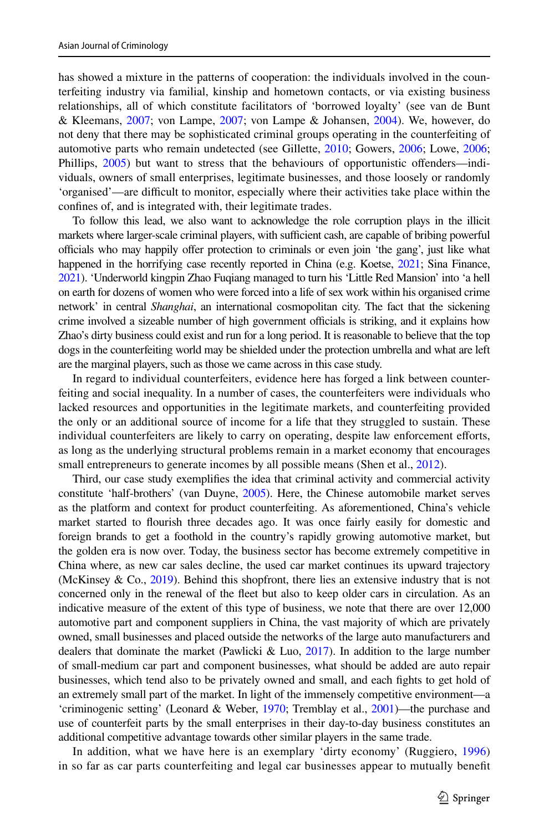has showed a mixture in the patterns of cooperation: the individuals involved in the counterfeiting industry via familial, kinship and hometown contacts, or via existing business relationships, all of which constitute facilitators of 'borrowed loyalty' (see van de Bunt & Kleemans, [2007](#page-18-17); von Lampe, [2007;](#page-18-18) von Lampe & Johansen, [2004](#page-18-19)). We, however, do not deny that there may be sophisticated criminal groups operating in the counterfeiting of automotive parts who remain undetected (see Gillette, [2010;](#page-16-17) Gowers, [2006](#page-16-18); Lowe, [2006;](#page-17-24) Phillips, [2005](#page-17-3)) but want to stress that the behaviours of opportunistic ofenders—individuals, owners of small enterprises, legitimate businesses, and those loosely or randomly 'organised'—are difcult to monitor, especially where their activities take place within the confnes of, and is integrated with, their legitimate trades.

To follow this lead, we also want to acknowledge the role corruption plays in the illicit markets where larger-scale criminal players, with sufficient cash, are capable of bribing powerful officials who may happily offer protection to criminals or even join 'the gang', just like what happened in the horrifying case recently reported in China (e.g. Koetse, [2021;](#page-17-25) Sina Finance, [2021\)](#page-18-20). 'Underworld kingpin Zhao Fuqiang managed to turn his 'Little Red Mansion' into 'a hell on earth for dozens of women who were forced into a life of sex work within his organised crime network' in central *Shanghai*, an international cosmopolitan city. The fact that the sickening crime involved a sizeable number of high government officials is striking, and it explains how Zhao's dirty business could exist and run for a long period. It is reasonable to believe that the top dogs in the counterfeiting world may be shielded under the protection umbrella and what are left are the marginal players, such as those we came across in this case study.

In regard to individual counterfeiters, evidence here has forged a link between counterfeiting and social inequality. In a number of cases, the counterfeiters were individuals who lacked resources and opportunities in the legitimate markets, and counterfeiting provided the only or an additional source of income for a life that they struggled to sustain. These individual counterfeiters are likely to carry on operating, despite law enforcement eforts, as long as the underlying structural problems remain in a market economy that encourages small entrepreneurs to generate incomes by all possible means (Shen et al., [2012](#page-17-12)).

Third, our case study exemplifes the idea that criminal activity and commercial activity constitute 'half-brothers' (van Duyne, [2005](#page-18-21)). Here, the Chinese automobile market serves as the platform and context for product counterfeiting. As aforementioned, China's vehicle market started to fourish three decades ago. It was once fairly easily for domestic and foreign brands to get a foothold in the country's rapidly growing automotive market, but the golden era is now over. Today, the business sector has become extremely competitive in China where, as new car sales decline, the used car market continues its upward trajectory (McKinsey & Co.,  $2019$ ). Behind this shopfront, there lies an extensive industry that is not concerned only in the renewal of the feet but also to keep older cars in circulation. As an indicative measure of the extent of this type of business, we note that there are over 12,000 automotive part and component suppliers in China, the vast majority of which are privately owned, small businesses and placed outside the networks of the large auto manufacturers and dealers that dominate the market (Pawlicki & Luo, [2017](#page-17-26)). In addition to the large number of small-medium car part and component businesses, what should be added are auto repair businesses, which tend also to be privately owned and small, and each fghts to get hold of an extremely small part of the market. In light of the immensely competitive environment—a 'criminogenic setting' (Leonard & Weber, [1970;](#page-17-27) Tremblay et al., [2001\)](#page-18-22)—the purchase and use of counterfeit parts by the small enterprises in their day-to-day business constitutes an additional competitive advantage towards other similar players in the same trade.

In addition, what we have here is an exemplary 'dirty economy' (Ruggiero, [1996](#page-17-28)) in so far as car parts counterfeiting and legal car businesses appear to mutually beneft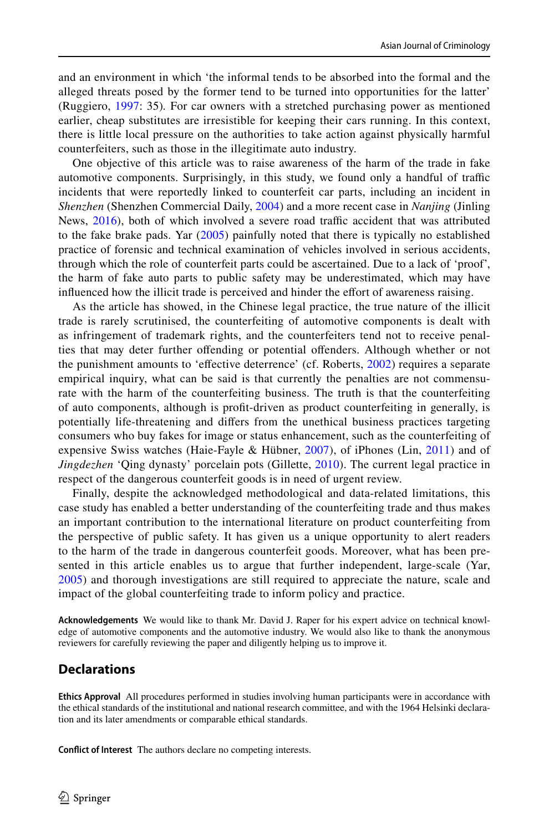and an environment in which 'the informal tends to be absorbed into the formal and the alleged threats posed by the former tend to be turned into opportunities for the latter' (Ruggiero, [1997:](#page-17-29) 35)*.* For car owners with a stretched purchasing power as mentioned earlier, cheap substitutes are irresistible for keeping their cars running. In this context, there is little local pressure on the authorities to take action against physically harmful counterfeiters, such as those in the illegitimate auto industry.

One objective of this article was to raise awareness of the harm of the trade in fake automotive components. Surprisingly, in this study, we found only a handful of traffic incidents that were reportedly linked to counterfeit car parts, including an incident in *Shenzhen* (Shenzhen Commercial Daily, [2004\)](#page-18-6) and a more recent case in *Nanjing* (Jinling News, [2016\)](#page-17-11), both of which involved a severe road traffic accident that was attributed to the fake brake pads. Yar ([2005\)](#page-18-3) painfully noted that there is typically no established practice of forensic and technical examination of vehicles involved in serious accidents, through which the role of counterfeit parts could be ascertained. Due to a lack of 'proof', the harm of fake auto parts to public safety may be underestimated, which may have infuenced how the illicit trade is perceived and hinder the efort of awareness raising.

As the article has showed, in the Chinese legal practice, the true nature of the illicit trade is rarely scrutinised, the counterfeiting of automotive components is dealt with as infringement of trademark rights, and the counterfeiters tend not to receive penalties that may deter further offending or potential offenders. Although whether or not the punishment amounts to 'effective deterrence' (cf. Roberts, [2002](#page-17-15)) requires a separate empirical inquiry, what can be said is that currently the penalties are not commensurate with the harm of the counterfeiting business. The truth is that the counterfeiting of auto components, although is proft-driven as product counterfeiting in generally, is potentially life-threatening and difers from the unethical business practices targeting consumers who buy fakes for image or status enhancement, such as the counterfeiting of expensive Swiss watches (Haie-Fayle & Hübner, [2007\)](#page-16-19), of iPhones (Lin, [2011\)](#page-17-22) and of *Jingdezhen* 'Qing dynasty' porcelain pots (Gillette, [2010\)](#page-16-17). The current legal practice in respect of the dangerous counterfeit goods is in need of urgent review.

Finally, despite the acknowledged methodological and data-related limitations, this case study has enabled a better understanding of the counterfeiting trade and thus makes an important contribution to the international literature on product counterfeiting from the perspective of public safety. It has given us a unique opportunity to alert readers to the harm of the trade in dangerous counterfeit goods. Moreover, what has been presented in this article enables us to argue that further independent, large-scale (Yar, [2005](#page-18-3)) and thorough investigations are still required to appreciate the nature, scale and impact of the global counterfeiting trade to inform policy and practice.

**Acknowledgements** We would like to thank Mr. David J. Raper for his expert advice on technical knowledge of automotive components and the automotive industry. We would also like to thank the anonymous reviewers for carefully reviewing the paper and diligently helping us to improve it.

## **Declarations**

**Ethics Approval** All procedures performed in studies involving human participants were in accordance with the ethical standards of the institutional and national research committee, and with the 1964 Helsinki declaration and its later amendments or comparable ethical standards.

**Confict of Interest** The authors declare no competing interests.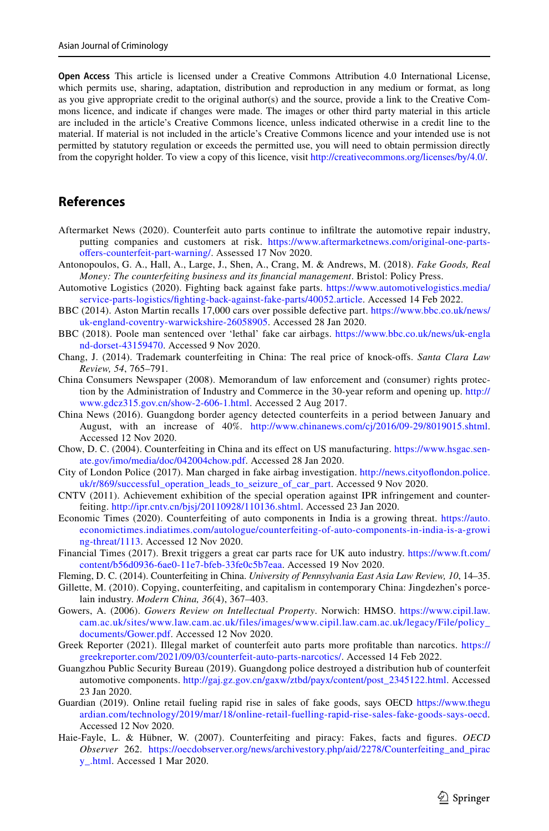**Open Access** This article is licensed under a Creative Commons Attribution 4.0 International License, which permits use, sharing, adaptation, distribution and reproduction in any medium or format, as long as you give appropriate credit to the original author(s) and the source, provide a link to the Creative Commons licence, and indicate if changes were made. The images or other third party material in this article are included in the article's Creative Commons licence, unless indicated otherwise in a credit line to the material. If material is not included in the article's Creative Commons licence and your intended use is not permitted by statutory regulation or exceeds the permitted use, you will need to obtain permission directly from the copyright holder. To view a copy of this licence, visit [http://creativecommons.org/licenses/by/4.0/.](http://creativecommons.org/licenses/by/4.0/)

### **References**

- <span id="page-16-0"></span>Aftermarket News (2020). Counterfeit auto parts continue to infltrate the automotive repair industry, putting companies and customers at risk. [https://www.aftermarketnews.com/original-one-parts](https://www.aftermarketnews.com/original-one-parts-offers-counterfeit-part-warning/)offers-counterfeit-part-warning/. Assessed 17 Nov 2020.
- <span id="page-16-7"></span>Antonopoulos, G. A., Hall, A., Large, J., Shen, A., Crang, M. & Andrews, M. (2018). *Fake Goods, Real Money: The counterfeiting business and its fnancial management*. Bristol: Policy Press.
- <span id="page-16-9"></span>Automotive Logistics (2020). Fighting back against fake parts. [https://www.automotivelogistics.media/](https://www.automotivelogistics.media/service-parts-logistics/fighting-back-against-fake-parts/40052.article) [service-parts-logistics/fghting-back-against-fake-parts/40052.article](https://www.automotivelogistics.media/service-parts-logistics/fighting-back-against-fake-parts/40052.article). Accessed 14 Feb 2022.
- <span id="page-16-8"></span>BBC (2014). Aston Martin recalls 17,000 cars over possible defective part. [https://www.bbc.co.uk/news/](https://www.bbc.co.uk/news/uk-england-coventry-warwickshire-26058905) [uk-england-coventry-warwickshire-26058905](https://www.bbc.co.uk/news/uk-england-coventry-warwickshire-26058905). Accessed 28 Jan 2020.
- <span id="page-16-11"></span>BBC (2018). Poole man sentenced over 'lethal' fake car airbags. [https://www.bbc.co.uk/news/uk-engla](https://www.bbc.co.uk/news/uk-england-dorset-43159470) [nd-dorset-43159470.](https://www.bbc.co.uk/news/uk-england-dorset-43159470) Accessed 9 Nov 2020.
- <span id="page-16-12"></span>Chang, J. (2014). Trademark counterfeiting in China: The real price of knock-ofs. *Santa Clara Law Review, 54*, 765–791.
- <span id="page-16-15"></span>China Consumers Newspaper (2008). Memorandum of law enforcement and (consumer) rights protection by the Administration of Industry and Commerce in the 30-year reform and opening up. [http://](http://www.gdcz315.gov.cn/show-2-606-1.html) [www.gdcz315.gov.cn/show-2-606-1.html.](http://www.gdcz315.gov.cn/show-2-606-1.html) Accessed 2 Aug 2017.
- <span id="page-16-5"></span>China News (2016). Guangdong border agency detected counterfeits in a period between January and August, with an increase of 40%. [http://www.chinanews.com/cj/2016/09-29/8019015.shtml.](http://www.chinanews.com/cj/2016/09-29/8019015.shtml) Accessed 12 Nov 2020.
- <span id="page-16-13"></span>Chow, D. C. (2004). Counterfeiting in China and its efect on US manufacturing. [https://www.hsgac.sen](https://www.hsgac.senate.gov/imo/media/doc/042004chow.pdf)[ate.gov/imo/media/doc/042004chow.pdf.](https://www.hsgac.senate.gov/imo/media/doc/042004chow.pdf) Accessed 28 Jan 2020.
- <span id="page-16-2"></span>City of London Police (2017). Man charged in fake airbag investigation. [http://news.cityofondon.police.](http://news.cityoflondon.police.uk/r/869/successful_operation_leads_to_seizure_of_car_part) [uk/r/869/successful\\_operation\\_leads\\_to\\_seizure\\_of\\_car\\_part](http://news.cityoflondon.police.uk/r/869/successful_operation_leads_to_seizure_of_car_part). Accessed 9 Nov 2020.
- <span id="page-16-6"></span>CNTV (2011). Achievement exhibition of the special operation against IPR infringement and counterfeiting. [http://ipr.cntv.cn/bjsj/20110928/110136.shtml.](http://ipr.cntv.cn/bjsj/20110928/110136.shtml) Accessed 23 Jan 2020.
- <span id="page-16-4"></span>Economic Times (2020). Counterfeiting of auto components in India is a growing threat. [https://auto.](https://auto.economictimes.indiatimes.com/autologue/counterfeiting-of-auto-components-in-india-is-a-growing-threat/1113) [economictimes.indiatimes.com/autologue/counterfeiting-of-auto-components-in-india-is-a-growi](https://auto.economictimes.indiatimes.com/autologue/counterfeiting-of-auto-components-in-india-is-a-growing-threat/1113) [ng-threat/1113](https://auto.economictimes.indiatimes.com/autologue/counterfeiting-of-auto-components-in-india-is-a-growing-threat/1113). Accessed 12 Nov 2020.
- <span id="page-16-3"></span>Financial Times (2017). Brexit triggers a great car parts race for UK auto industry. [https://www.ft.com/](https://www.ft.com/content/b56d0936-6ae0-11e7-bfeb-33fe0c5b7eaa) [content/b56d0936-6ae0-11e7-bfeb-33fe0c5b7eaa.](https://www.ft.com/content/b56d0936-6ae0-11e7-bfeb-33fe0c5b7eaa) Accessed 19 Nov 2020.
- <span id="page-16-14"></span>Fleming, D. C. (2014). Counterfeiting in China. *University of Pennsylvania East Asia Law Review, 10*, 14–35.
- <span id="page-16-17"></span>Gillette, M. (2010). Copying, counterfeiting, and capitalism in contemporary China: Jingdezhen's porcelain industry. *Modern China, 36*(4), 367–403.
- <span id="page-16-18"></span>Gowers, A. (2006). *Gowers Review on Intellectual Property*. Norwich: HMSO. [https://www.cipil.law.](https://www.cipil.law.cam.ac.uk/sites/www.law.cam.ac.uk/files/images/www.cipil.law.cam.ac.uk/legacy/File/policy_documents/Gower.pdf) [cam.ac.uk/sites/www.law.cam.ac.uk/files/images/www.cipil.law.cam.ac.uk/legacy/File/policy\\_](https://www.cipil.law.cam.ac.uk/sites/www.law.cam.ac.uk/files/images/www.cipil.law.cam.ac.uk/legacy/File/policy_documents/Gower.pdf) [documents/Gower.pdf.](https://www.cipil.law.cam.ac.uk/sites/www.law.cam.ac.uk/files/images/www.cipil.law.cam.ac.uk/legacy/File/policy_documents/Gower.pdf) Accessed 12 Nov 2020.
- <span id="page-16-10"></span>Greek Reporter (2021). Illegal market of counterfeit auto parts more proftable than narcotics. [https://](https://greekreporter.com/2021/09/03/counterfeit-auto-parts-narcotics/) [greekreporter.com/2021/09/03/counterfeit-auto-parts-narcotics/](https://greekreporter.com/2021/09/03/counterfeit-auto-parts-narcotics/). Accessed 14 Feb 2022.
- <span id="page-16-16"></span>Guangzhou Public Security Bureau (2019). Guangdong police destroyed a distribution hub of counterfeit automotive components. [http://gaj.gz.gov.cn/gaxw/ztbd/payx/content/post\\_2345122.html.](http://gaj.gz.gov.cn/gaxw/ztbd/payx/content/post_2345122.html) Accessed 23 Jan 2020.
- <span id="page-16-1"></span>Guardian (2019). Online retail fueling rapid rise in sales of fake goods, says OECD [https://www.thegu](https://www.theguardian.com/technology/2019/mar/18/online-retail-fuelling-rapid-rise-sales-fake-goods-says-oecd) [ardian.com/technology/2019/mar/18/online-retail-fuelling-rapid-rise-sales-fake-goods-says-oecd.](https://www.theguardian.com/technology/2019/mar/18/online-retail-fuelling-rapid-rise-sales-fake-goods-says-oecd) Accessed 12 Nov 2020.
- <span id="page-16-19"></span>Haie-Fayle, L. & Hübner, W. (2007). Counterfeiting and piracy: Fakes, facts and fgures. *OECD Observer* 262. [https://oecdobserver.org/news/archivestory.php/aid/2278/Counterfeiting\\_and\\_pirac](https://oecdobserver.org/news/archivestory.php/aid/2278/Counterfeiting_and_piracy_.html) [y\\_.html](https://oecdobserver.org/news/archivestory.php/aid/2278/Counterfeiting_and_piracy_.html). Accessed 1 Mar 2020.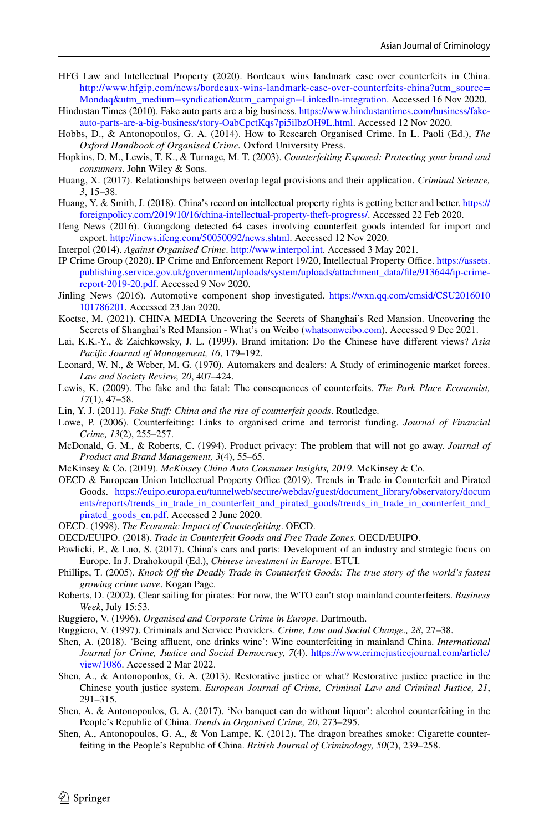- <span id="page-17-17"></span>HFG Law and Intellectual Property (2020). Bordeaux wins landmark case over counterfeits in China. [http://www.hfgip.com/news/bordeaux-wins-landmark-case-over-counterfeits-china?utm\\_source=](http://www.hfgip.com/news/bordeaux-wins-landmark-case-over-counterfeits-china?utm_source=Mondaq&utm_medium=syndication&utm_campaign=LinkedIn-integration) [Mondaq&utm\\_medium=syndication&utm\\_campaign=LinkedIn-integration.](http://www.hfgip.com/news/bordeaux-wins-landmark-case-over-counterfeits-china?utm_source=Mondaq&utm_medium=syndication&utm_campaign=LinkedIn-integration) Accessed 16 Nov 2020.
- <span id="page-17-5"></span>Hindustan Times (2010). Fake auto parts are a big business. [https://www.hindustantimes.com/business/fake](https://www.hindustantimes.com/business/fake-auto-parts-are-a-big-business/story-OabCpctKqs7pi5ilbzOH9L.html)[auto-parts-are-a-big-business/story-OabCpctKqs7pi5ilbzOH9L.html.](https://www.hindustantimes.com/business/fake-auto-parts-are-a-big-business/story-OabCpctKqs7pi5ilbzOH9L.html) Accessed 12 Nov 2020.
- <span id="page-17-9"></span>Hobbs, D., & Antonopoulos, G. A. (2014). How to Research Organised Crime. In L. Paoli (Ed.), *The Oxford Handbook of Organised Crime.* Oxford University Press.
- <span id="page-17-13"></span>Hopkins, D. M., Lewis, T. K., & Turnage, M. T. (2003). *Counterfeiting Exposed: Protecting your brand and consumers*. John Wiley & Sons.
- <span id="page-17-16"></span>Huang, X. (2017). Relationships between overlap legal provisions and their application. *Criminal Science, 3*, 15–38.
- <span id="page-17-18"></span>Huang, Y. & Smith, J. (2018). China's record on intellectual property rights is getting better and better. [https://](https://foreignpolicy.com/2019/10/16/china-intellectual-property-theft-progress/) [foreignpolicy.com/2019/10/16/china-intellectual-property-theft-progress/](https://foreignpolicy.com/2019/10/16/china-intellectual-property-theft-progress/). Accessed 22 Feb 2020.
- <span id="page-17-7"></span>Ifeng News (2016). Guangdong detected 64 cases involving counterfeit goods intended for import and export. [http://inews.ifeng.com/50050092/news.shtml.](http://inews.ifeng.com/50050092/news.shtml) Accessed 12 Nov 2020.
- <span id="page-17-8"></span>Interpol (2014). *Against Organised Crime*. <http://www.interpol.int>. Accessed 3 May 2021.
- <span id="page-17-1"></span>IP Crime Group (2020). IP Crime and Enforcement Report 19/20, Intellectual Property Office. [https://assets.](https://assets.publishing.service.gov.uk/government/uploads/system/uploads/attachment_data/file/913644/ip-crime-report-2019-20.pdf) [publishing.service.gov.uk/government/uploads/system/uploads/attachment\\_data/fle/913644/ip-crime](https://assets.publishing.service.gov.uk/government/uploads/system/uploads/attachment_data/file/913644/ip-crime-report-2019-20.pdf)[report-2019-20.pdf](https://assets.publishing.service.gov.uk/government/uploads/system/uploads/attachment_data/file/913644/ip-crime-report-2019-20.pdf). Accessed 9 Nov 2020.
- <span id="page-17-11"></span>Jinling News (2016). Automotive component shop investigated. [https://wxn.qq.com/cmsid/CSU2016010](https://wxn.qq.com/cmsid/CSU2016010101786201) [101786201.](https://wxn.qq.com/cmsid/CSU2016010101786201) Accessed 23 Jan 2020.
- <span id="page-17-25"></span>Koetse, M. (2021). CHINA MEDIA Uncovering the Secrets of Shanghai's Red Mansion. Uncovering the Secrets of Shanghai's Red Mansion - What's on Weibo [\(whatsonweibo.com\)](http://whatsonweibo.com). Accessed 9 Dec 2021.
- <span id="page-17-21"></span>Lai, K.K.-Y., & Zaichkowsky, J. L. (1999). Brand imitation: Do the Chinese have diferent views? *Asia Pacifc Journal of Management, 16*, 179–192.
- <span id="page-17-27"></span>Leonard, W. N., & Weber, M. G. (1970). Automakers and dealers: A Study of criminogenic market forces. *Law and Society Review, 20*, 407–424.
- <span id="page-17-2"></span>Lewis, K. (2009). The fake and the fatal: The consequences of counterfeits. *The Park Place Economist, 17*(1), 47–58.
- <span id="page-17-22"></span>Lin, Y. J. (2011). *Fake Stuf: China and the rise of counterfeit goods*. Routledge.
- <span id="page-17-24"></span>Lowe, P. (2006). Counterfeiting: Links to organised crime and terrorist funding. *Journal of Financial Crime, 13*(2), 255–257.
- <span id="page-17-23"></span>McDonald, G. M., & Roberts, C. (1994). Product privacy: The problem that will not go away. *Journal of Product and Brand Management, 3*(4), 55–65.
- <span id="page-17-10"></span>McKinsey & Co. (2019). *McKinsey China Auto Consumer Insights, 2019*. McKinsey & Co.
- <span id="page-17-6"></span>OECD & European Union Intellectual Property Office (2019). Trends in Trade in Counterfeit and Pirated Goods. [https://euipo.europa.eu/tunnelweb/secure/webdav/guest/document\\_library/observatory/docum](https://euipo.europa.eu/tunnelweb/secure/webdav/guest/document_library/observatory/documents/reports/trends_in_trade_in_counterfeit_and_pirated_goods/trends_in_trade_in_counterfeit_and_pirated_goods_en.pdf) [ents/reports/trends\\_in\\_trade\\_in\\_counterfeit\\_and\\_pirated\\_goods/trends\\_in\\_trade\\_in\\_counterfeit\\_and\\_](https://euipo.europa.eu/tunnelweb/secure/webdav/guest/document_library/observatory/documents/reports/trends_in_trade_in_counterfeit_and_pirated_goods/trends_in_trade_in_counterfeit_and_pirated_goods_en.pdf) [pirated\\_goods\\_en.pdf](https://euipo.europa.eu/tunnelweb/secure/webdav/guest/document_library/observatory/documents/reports/trends_in_trade_in_counterfeit_and_pirated_goods/trends_in_trade_in_counterfeit_and_pirated_goods_en.pdf). Accessed 2 June 2020.
- <span id="page-17-0"></span>OECD. (1998). *The Economic Impact of Counterfeiting*. OECD.
- <span id="page-17-4"></span>OECD/EUIPO. (2018). *Trade in Counterfeit Goods and Free Trade Zones*. OECD/EUIPO.
- <span id="page-17-26"></span>Pawlicki, P., & Luo, S. (2017). China's cars and parts: Development of an industry and strategic focus on Europe. In J. Drahokoupil (Ed.), *Chinese investment in Europe.* ETUI.
- <span id="page-17-3"></span>Phillips, T. (2005). *Knock Off the Deadly Trade in Counterfeit Goods: The true story of the world's fastest growing crime wave*. Kogan Page.
- <span id="page-17-15"></span>Roberts, D. (2002). Clear sailing for pirates: For now, the WTO can't stop mainland counterfeiters. *Business Week*, July 15:53.
- <span id="page-17-28"></span>Ruggiero, V. (1996). *Organised and Corporate Crime in Europe*. Dartmouth.
- <span id="page-17-29"></span>Ruggiero, V. (1997). Criminals and Service Providers. *Crime, Law and Social Change., 28*, 27–38.
- <span id="page-17-14"></span>Shen, A. (2018). 'Being affluent, one drinks wine': Wine counterfeiting in mainland China. *International Journal for Crime, Justice and Social Democracy, 7*(4). [https://www.crimejusticejournal.com/article/](https://www.crimejusticejournal.com/article/view/1086) [view/1086](https://www.crimejusticejournal.com/article/view/1086). Accessed 2 Mar 2022.
- <span id="page-17-20"></span>Shen, A., & Antonopoulos, G. A. (2013). Restorative justice or what? Restorative justice practice in the Chinese youth justice system. *European Journal of Crime, Criminal Law and Criminal Justice, 21*, 291–315.
- <span id="page-17-19"></span>Shen, A. & Antonopoulos, G. A. (2017). 'No banquet can do without liquor': alcohol counterfeiting in the People's Republic of China. *Trends in Organised Crime, 20*, 273–295.
- <span id="page-17-12"></span>Shen, A., Antonopoulos, G. A., & Von Lampe, K. (2012). The dragon breathes smoke: Cigarette counterfeiting in the People's Republic of China. *British Journal of Criminology, 50*(2), 239–258.